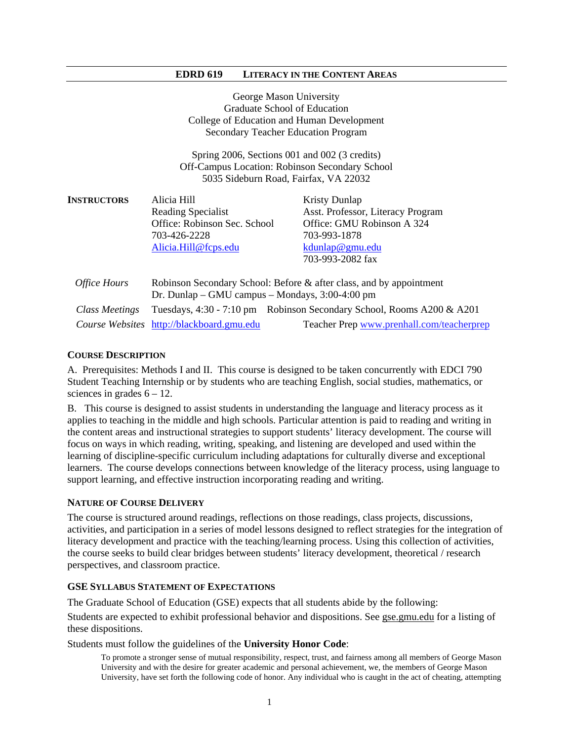George Mason University Graduate School of Education College of Education and Human Development Secondary Teacher Education Program

Spring 2006, Sections 001 and 002 (3 credits) Off-Campus Location: Robinson Secondary School 5035 Sideburn Road, Fairfax, VA 22032

| <b>INSTRUCTORS</b>         | Alicia Hill                                                                                                              | <b>Kristy Dunlap</b>                                                  |
|----------------------------|--------------------------------------------------------------------------------------------------------------------------|-----------------------------------------------------------------------|
|                            | <b>Reading Specialist</b>                                                                                                | Asst. Professor, Literacy Program                                     |
|                            | Office: Robinson Sec. School                                                                                             | Office: GMU Robinson A 324                                            |
|                            | 703-426-2228                                                                                                             | 703-993-1878                                                          |
|                            | Alicia.Hill@fcps.edu                                                                                                     | kdunlap@gmu.edu                                                       |
|                            |                                                                                                                          | 703-993-2082 fax                                                      |
| <i><b>Office Hours</b></i> | Robinson Secondary School: Before & after class, and by appointment<br>Dr. Dunlap – GMU campus – Mondays, $3:00-4:00$ pm |                                                                       |
| Class Meetings             |                                                                                                                          | Tuesdays, 4:30 - 7:10 pm Robinson Secondary School, Rooms A200 & A201 |

#### **COURSE DESCRIPTION**

A. Prerequisites: Methods I and II. This course is designed to be taken concurrently with EDCI 790 Student Teaching Internship or by students who are teaching English, social studies, mathematics, or sciences in grades  $6 - 12$ .

*Course Websites* http://blackboard.gmu.edu Teacher Prep www.prenhall.com/teacherprep

B. This course is designed to assist students in understanding the language and literacy process as it applies to teaching in the middle and high schools. Particular attention is paid to reading and writing in the content areas and instructional strategies to support students' literacy development. The course will focus on ways in which reading, writing, speaking, and listening are developed and used within the learning of discipline-specific curriculum including adaptations for culturally diverse and exceptional learners. The course develops connections between knowledge of the literacy process, using language to support learning, and effective instruction incorporating reading and writing.

#### **NATURE OF COURSE DELIVERY**

The course is structured around readings, reflections on those readings, class projects, discussions, activities, and participation in a series of model lessons designed to reflect strategies for the integration of literacy development and practice with the teaching/learning process. Using this collection of activities, the course seeks to build clear bridges between students' literacy development, theoretical / research perspectives, and classroom practice.

#### **GSE SYLLABUS STATEMENT OF EXPECTATIONS**

The Graduate School of Education (GSE) expects that all students abide by the following:

Students are expected to exhibit professional behavior and dispositions. See gse.gmu.edu for a listing of these dispositions.

Students must follow the guidelines of the **University Honor Code**:

To promote a stronger sense of mutual responsibility, respect, trust, and fairness among all members of George Mason University and with the desire for greater academic and personal achievement, we, the members of George Mason University, have set forth the following code of honor. Any individual who is caught in the act of cheating, attempting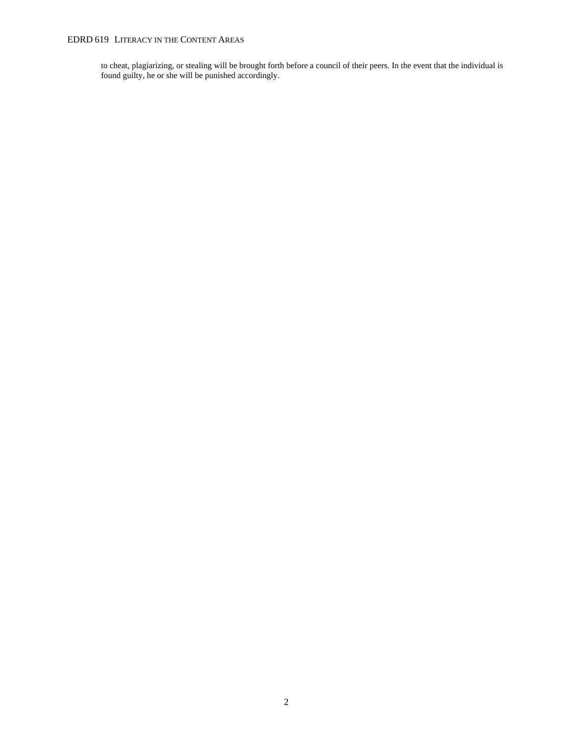to cheat, plagiarizing, or stealing will be brought forth before a council of their peers. In the event that the individual is found guilty, he or she will be punished accordingly.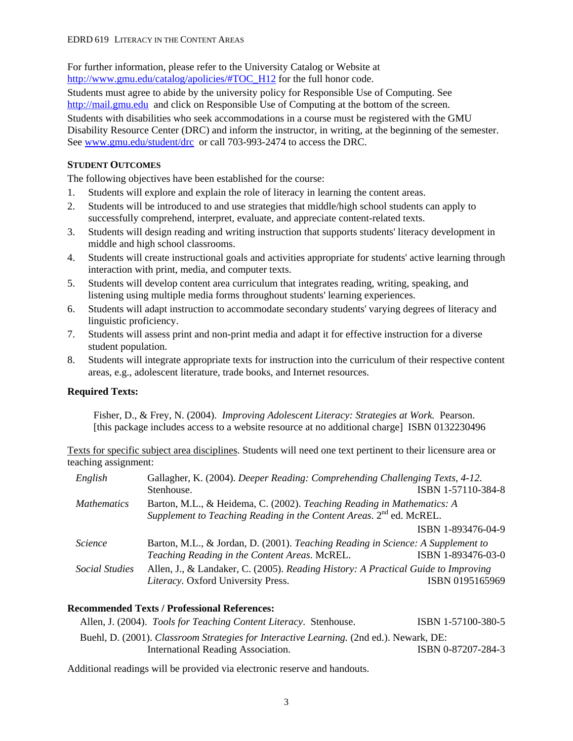For further information, please refer to the University Catalog or Website at http://www.gmu.edu/catalog/apolicies/#TOC\_H12 for the full honor code.

Students must agree to abide by the university policy for Responsible Use of Computing. See http://mail.gmu.edu and click on Responsible Use of Computing at the bottom of the screen. Students with disabilities who seek accommodations in a course must be registered with the GMU Disability Resource Center (DRC) and inform the instructor, in writing, at the beginning of the semester. See www.gmu.edu/student/drc or call 703-993-2474 to access the DRC.

## **STUDENT OUTCOMES**

The following objectives have been established for the course:

- 1. Students will explore and explain the role of literacy in learning the content areas.
- 2. Students will be introduced to and use strategies that middle/high school students can apply to successfully comprehend, interpret, evaluate, and appreciate content-related texts.
- 3. Students will design reading and writing instruction that supports students' literacy development in middle and high school classrooms.
- 4. Students will create instructional goals and activities appropriate for students' active learning through interaction with print, media, and computer texts.
- 5. Students will develop content area curriculum that integrates reading, writing, speaking, and listening using multiple media forms throughout students' learning experiences.
- 6. Students will adapt instruction to accommodate secondary students' varying degrees of literacy and linguistic proficiency.
- 7. Students will assess print and non-print media and adapt it for effective instruction for a diverse student population.
- 8. Students will integrate appropriate texts for instruction into the curriculum of their respective content areas, e.g., adolescent literature, trade books, and Internet resources.

# **Required Texts:**

 Fisher, D., & Frey, N. (2004). *Improving Adolescent Literacy: Strategies at Work.* Pearson. [this package includes access to a website resource at no additional charge] ISBN 0132230496

Texts for specific subject area disciplines. Students will need one text pertinent to their licensure area or teaching assignment:

| English                                                                                      | Gallagher, K. (2004). Deeper Reading: Comprehending Challenging Texts, 4-12.      |                    |
|----------------------------------------------------------------------------------------------|-----------------------------------------------------------------------------------|--------------------|
|                                                                                              | Stenhouse.                                                                        | ISBN 1-57110-384-8 |
| Barton, M.L., & Heidema, C. (2002). Teaching Reading in Mathematics: A<br><b>Mathematics</b> |                                                                                   |                    |
|                                                                                              | Supplement to Teaching Reading in the Content Areas. 2 <sup>nd</sup> ed. McREL.   |                    |
|                                                                                              |                                                                                   | ISBN 1-893476-04-9 |
| Barton, M.L., & Jordan, D. (2001). Teaching Reading in Science: A Supplement to<br>Science   |                                                                                   |                    |
|                                                                                              | Teaching Reading in the Content Areas. McREL.                                     | ISBN 1-893476-03-0 |
| Social Studies                                                                               | Allen, J., & Landaker, C. (2005). Reading History: A Practical Guide to Improving |                    |
|                                                                                              | Literacy. Oxford University Press.                                                | ISBN 0195165969    |

## **Recommended Texts / Professional References:**

| Allen, J. (2004). <i>Tools for Teaching Content Literacy</i> . Stenhouse.               | ISBN 1-57100-380-5 |  |
|-----------------------------------------------------------------------------------------|--------------------|--|
| Buehl, D. (2001). Classroom Strategies for Interactive Learning. (2nd ed.). Newark, DE: |                    |  |
| International Reading Association.                                                      | ISBN 0-87207-284-3 |  |

Additional readings will be provided via electronic reserve and handouts.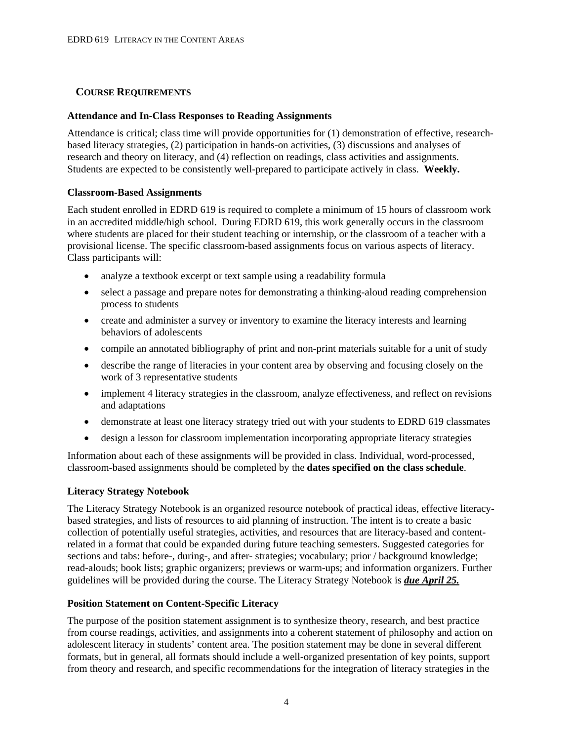# **COURSE REQUIREMENTS**

## **Attendance and In-Class Responses to Reading Assignments**

Attendance is critical; class time will provide opportunities for (1) demonstration of effective, researchbased literacy strategies, (2) participation in hands-on activities, (3) discussions and analyses of research and theory on literacy, and (4) reflection on readings, class activities and assignments. Students are expected to be consistently well-prepared to participate actively in class. **Weekly.** 

## **Classroom-Based Assignments**

Each student enrolled in EDRD 619 is required to complete a minimum of 15 hours of classroom work in an accredited middle/high school. During EDRD 619, this work generally occurs in the classroom where students are placed for their student teaching or internship, or the classroom of a teacher with a provisional license. The specific classroom-based assignments focus on various aspects of literacy. Class participants will:

- analyze a textbook excerpt or text sample using a readability formula
- select a passage and prepare notes for demonstrating a thinking-aloud reading comprehension process to students
- create and administer a survey or inventory to examine the literacy interests and learning behaviors of adolescents
- compile an annotated bibliography of print and non-print materials suitable for a unit of study
- describe the range of literacies in your content area by observing and focusing closely on the work of 3 representative students
- implement 4 literacy strategies in the classroom, analyze effectiveness, and reflect on revisions and adaptations
- demonstrate at least one literacy strategy tried out with your students to EDRD 619 classmates
- design a lesson for classroom implementation incorporating appropriate literacy strategies

Information about each of these assignments will be provided in class. Individual, word-processed, classroom-based assignments should be completed by the **dates specified on the class schedule**.

# **Literacy Strategy Notebook**

The Literacy Strategy Notebook is an organized resource notebook of practical ideas, effective literacybased strategies, and lists of resources to aid planning of instruction. The intent is to create a basic collection of potentially useful strategies, activities, and resources that are literacy-based and contentrelated in a format that could be expanded during future teaching semesters. Suggested categories for sections and tabs: before-, during-, and after- strategies; vocabulary; prior / background knowledge; read-alouds; book lists; graphic organizers; previews or warm-ups; and information organizers. Further guidelines will be provided during the course. The Literacy Strategy Notebook is *due April 25.*

## **Position Statement on Content-Specific Literacy**

The purpose of the position statement assignment is to synthesize theory, research, and best practice from course readings, activities, and assignments into a coherent statement of philosophy and action on adolescent literacy in students' content area. The position statement may be done in several different formats, but in general, all formats should include a well-organized presentation of key points, support from theory and research, and specific recommendations for the integration of literacy strategies in the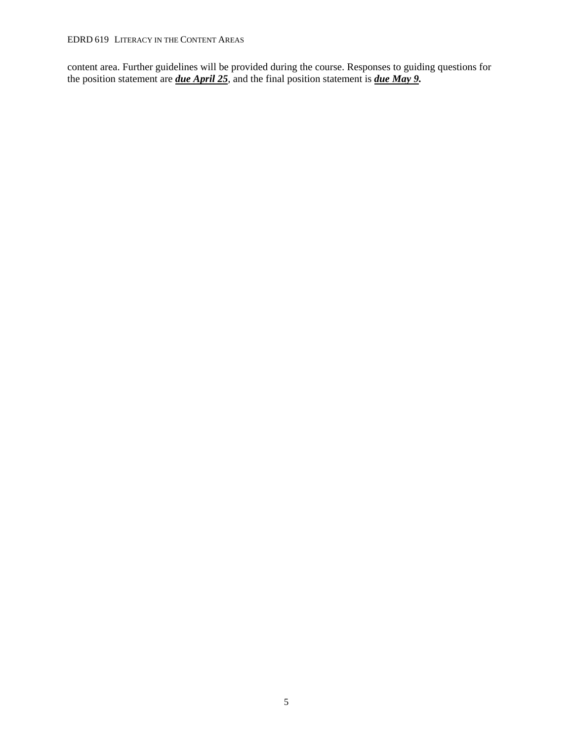content area. Further guidelines will be provided during the course. Responses to guiding questions for the position statement are *due April 25,* and the final position statement is *due May 9.*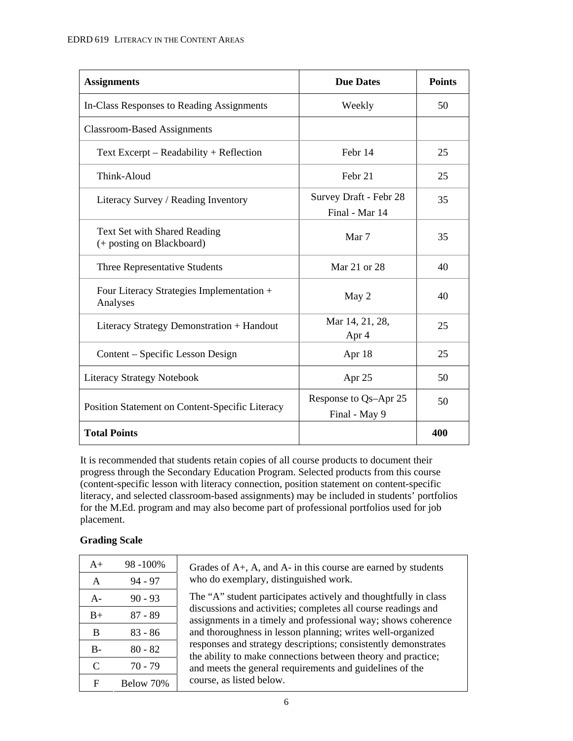| <b>Assignments</b>                                        | <b>Due Dates</b>                         | <b>Points</b> |
|-----------------------------------------------------------|------------------------------------------|---------------|
| In-Class Responses to Reading Assignments                 | Weekly                                   | 50            |
| <b>Classroom-Based Assignments</b>                        |                                          |               |
| Text Excerpt $-$ Readability $+$ Reflection               | Febr 14                                  | 25            |
| Think-Aloud                                               | Febr 21                                  | 25            |
| Literacy Survey / Reading Inventory                       | Survey Draft - Febr 28<br>Final - Mar 14 | 35            |
| Text Set with Shared Reading<br>(+ posting on Blackboard) | Mar 7                                    | 35            |
| Three Representative Students                             | Mar 21 or 28                             | 40            |
| Four Literacy Strategies Implementation +<br>Analyses     | May 2                                    | 40            |
| Literacy Strategy Demonstration + Handout                 | Mar 14, 21, 28,<br>Apr 4                 | 25            |
| Content – Specific Lesson Design                          | Apr 18                                   | 25            |
| <b>Literacy Strategy Notebook</b>                         | Apr 25                                   | 50            |
| Position Statement on Content-Specific Literacy           | Response to Qs-Apr 25<br>Final - May 9   | 50            |
| <b>Total Points</b>                                       |                                          | 400           |

It is recommended that students retain copies of all course products to document their progress through the Secondary Education Program. Selected products from this course (content-specific lesson with literacy connection, position statement on content-specific literacy, and selected classroom-based assignments) may be included in students' portfolios for the M.Ed. program and may also become part of professional portfolios used for job placement.

# **Grading Scale**

| $A+$  | 98 - 100% |
|-------|-----------|
| A     | 94 - 97   |
| $A -$ | $90 - 93$ |
| $B+$  | 87 - 89   |
| B     | 83 - 86   |
| B-    | $80 - 82$ |
| C     | 70 - 79   |
| F     | Below 70% |

Grades of A+, A, and A- in this course are earned by students who do exemplary, distinguished work.

The "A" student participates actively and thoughtfully in class discussions and activities; completes all course readings and assignments in a timely and professional way; shows coherence and thoroughness in lesson planning; writes well-organized responses and strategy descriptions; consistently demonstrates the ability to make connections between theory and practice; and meets the general requirements and guidelines of the course, as listed below.

6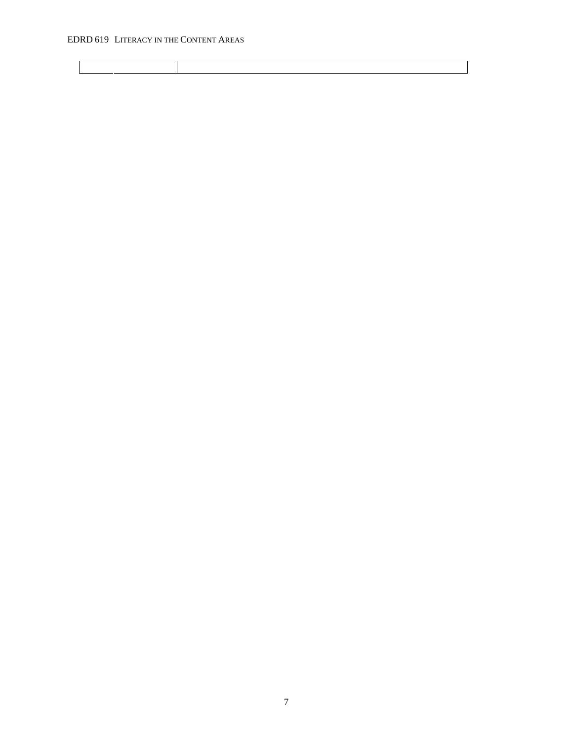<u> 1989 - Johann Barn, mars eta bainar eta idazlea (</u>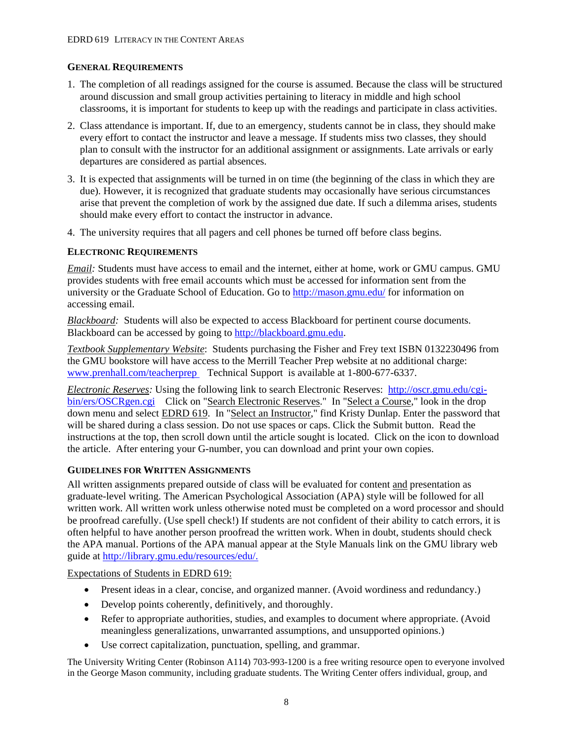## **GENERAL REQUIREMENTS**

- 1. The completion of all readings assigned for the course is assumed. Because the class will be structured around discussion and small group activities pertaining to literacy in middle and high school classrooms, it is important for students to keep up with the readings and participate in class activities.
- 2. Class attendance is important. If, due to an emergency, students cannot be in class, they should make every effort to contact the instructor and leave a message. If students miss two classes, they should plan to consult with the instructor for an additional assignment or assignments. Late arrivals or early departures are considered as partial absences.
- 3. It is expected that assignments will be turned in on time (the beginning of the class in which they are due). However, it is recognized that graduate students may occasionally have serious circumstances arise that prevent the completion of work by the assigned due date. If such a dilemma arises, students should make every effort to contact the instructor in advance.
- 4. The university requires that all pagers and cell phones be turned off before class begins.

## **ELECTRONIC REQUIREMENTS**

*Email:* Students must have access to email and the internet, either at home, work or GMU campus. GMU provides students with free email accounts which must be accessed for information sent from the university or the Graduate School of Education. Go to http://mason.gmu.edu/ for information on accessing email.

*Blackboard:* Students will also be expected to access Blackboard for pertinent course documents. Blackboard can be accessed by going to http://blackboard.gmu.edu.

*Textbook Supplementary Website*: Students purchasing the Fisher and Frey text ISBN 0132230496 from the GMU bookstore will have access to the Merrill Teacher Prep website at no additional charge: www.prenhall.com/teacherprep Technical Support is available at 1-800-677-6337.

*Electronic Reserves:* Using the following link to search Electronic Reserves: http://oscr.gmu.edu/cgibin/ers/OSCRgen.cgi Click on "Search Electronic Reserves." In "Select a Course," look in the drop down menu and select EDRD 619. In "Select an Instructor," find Kristy Dunlap. Enter the password that will be shared during a class session. Do not use spaces or caps. Click the Submit button. Read the instructions at the top, then scroll down until the article sought is located. Click on the icon to download the article. After entering your G-number, you can download and print your own copies.

## **GUIDELINES FOR WRITTEN ASSIGNMENTS**

All written assignments prepared outside of class will be evaluated for content and presentation as graduate-level writing. The American Psychological Association (APA) style will be followed for all written work. All written work unless otherwise noted must be completed on a word processor and should be proofread carefully. (Use spell check!) If students are not confident of their ability to catch errors, it is often helpful to have another person proofread the written work. When in doubt, students should check the APA manual. Portions of the APA manual appear at the Style Manuals link on the GMU library web guide at http://library.gmu.edu/resources/edu/.

Expectations of Students in EDRD 619:

- Present ideas in a clear, concise, and organized manner. (Avoid wordiness and redundancy.)
- Develop points coherently, definitively, and thoroughly.
- Refer to appropriate authorities, studies, and examples to document where appropriate. (Avoid meaningless generalizations, unwarranted assumptions, and unsupported opinions.)
- Use correct capitalization, punctuation, spelling, and grammar.

The University Writing Center (Robinson A114) 703-993-1200 is a free writing resource open to everyone involved in the George Mason community, including graduate students. The Writing Center offers individual, group, and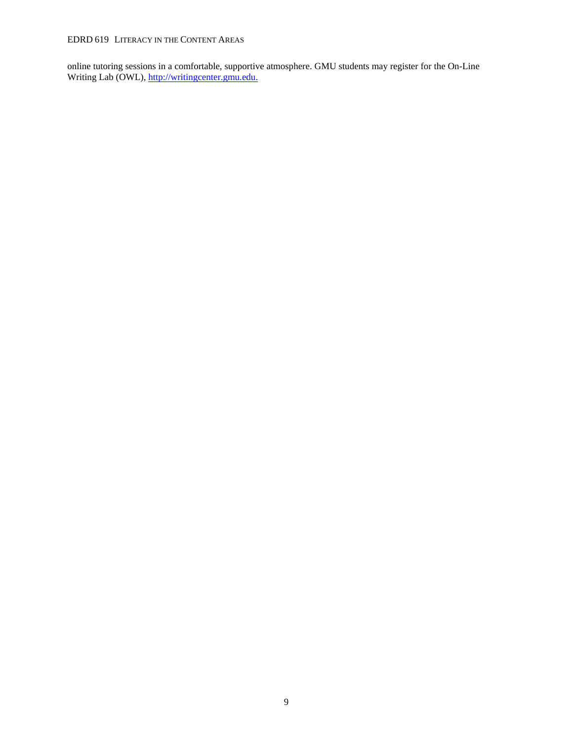online tutoring sessions in a comfortable, supportive atmosphere. GMU students may register for the On-Line Writing Lab (OWL), http://writingcenter.gmu.edu.